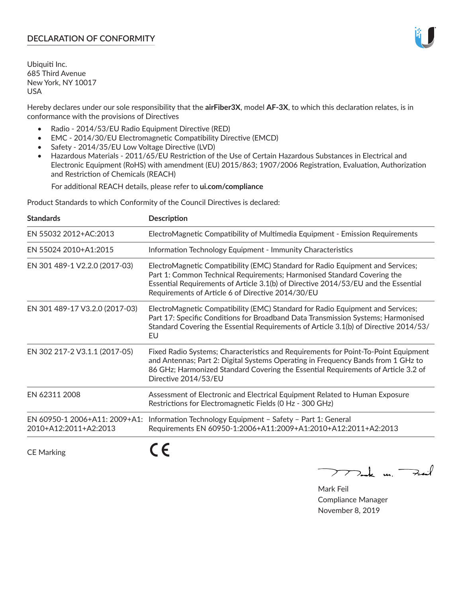## **DECLARATION OF CONFORMITY**

Ubiquiti Inc. 685 Third Avenue New York, NY 10017 USA

Hereby declares under our sole responsibility that the **airFiber3X**, model **AF-3X**, to which this declaration relates, is in conformance with the provisions of Directives

- Radio 2014/53/EU Radio Equipment Directive (RED)
- EMC 2014/30/EU Electromagnetic Compatibility Directive (EMCD)
- Safety 2014/35/EU Low Voltage Directive (LVD)
- Hazardous Materials 2011/65/EU Restriction of the Use of Certain Hazardous Substances in Electrical and Electronic Equipment (RoHS) with amendment (EU) 2015/863; 1907/2006 Registration, Evaluation, Authorization and Restriction of Chemicals (REACH)

For additional REACH details, please refer to **ui.com/compliance**

Product Standards to which Conformity of the Council Directives is declared:

| <b>Standards</b>                                       | <b>Description</b>                                                                                                                                                                                                                                                                                   |
|--------------------------------------------------------|------------------------------------------------------------------------------------------------------------------------------------------------------------------------------------------------------------------------------------------------------------------------------------------------------|
| EN 55032 2012+AC:2013                                  | ElectroMagnetic Compatibility of Multimedia Equipment - Emission Requirements                                                                                                                                                                                                                        |
| EN 55024 2010+A1:2015                                  | Information Technology Equipment - Immunity Characteristics                                                                                                                                                                                                                                          |
| EN 301 489-1 V2.2.0 (2017-03)                          | ElectroMagnetic Compatibility (EMC) Standard for Radio Equipment and Services;<br>Part 1: Common Technical Requirements; Harmonised Standard Covering the<br>Essential Requirements of Article 3.1(b) of Directive 2014/53/EU and the Essential<br>Requirements of Article 6 of Directive 2014/30/EU |
| EN 301 489-17 V3.2.0 (2017-03)                         | ElectroMagnetic Compatibility (EMC) Standard for Radio Equipment and Services;<br>Part 17: Specific Conditions for Broadband Data Transmission Systems; Harmonised<br>Standard Covering the Essential Requirements of Article 3.1(b) of Directive 2014/53/<br>EU                                     |
| EN 302 217-2 V3.1.1 (2017-05)                          | Fixed Radio Systems; Characteristics and Requirements for Point-To-Point Equipment<br>and Antennas; Part 2: Digital Systems Operating in Frequency Bands from 1 GHz to<br>86 GHz; Harmonized Standard Covering the Essential Requirements of Article 3.2 of<br>Directive 2014/53/EU                  |
| EN 62311 2008                                          | Assessment of Electronic and Electrical Equipment Related to Human Exposure<br>Restrictions for Electromagnetic Fields (0 Hz - 300 GHz)                                                                                                                                                              |
| EN 60950-1 2006+A11: 2009+A1:<br>2010+A12:2011+A2:2013 | Information Technology Equipment - Safety - Part 1: General<br>Requirements EN 60950-1:2006+A11:2009+A1:2010+A12:2011+A2:2013                                                                                                                                                                        |
|                                                        |                                                                                                                                                                                                                                                                                                      |

CE Marking

くと

Mak m. Fail

Mark Feil Compliance Manager November 8, 2019

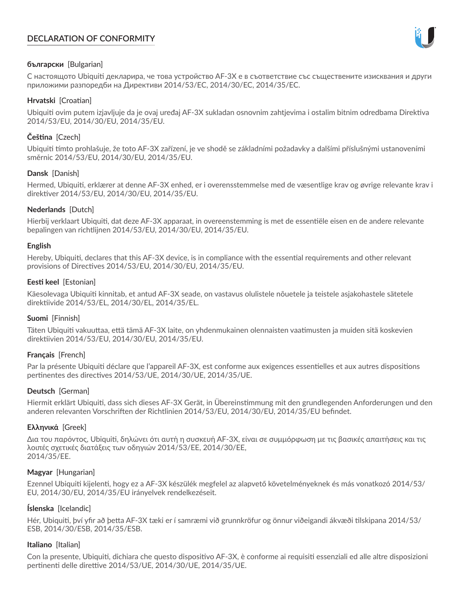# **DECLARATION OF CONFORMITY**



### **български** [Bulgarian]

С настоящото Ubiquiti декларира, че това устройство AF-3X е в съответствие със съществените изисквания и други приложими разпоредби на Директиви 2014/53/EC, 2014/30/ЕС, 2014/35/ЕС.

### **Hrvatski** [Croatian]

Ubiquiti ovim putem izjavljuje da je ovaj uređaj AF-3X sukladan osnovnim zahtjevima i ostalim bitnim odredbama Direktiva 2014/53/EU, 2014/30/EU, 2014/35/EU.

# **Čeština** [Czech]

Ubiquiti tímto prohlašuje, že toto AF-3X zařízení, je ve shodě se základními požadavky a dalšími příslušnými ustanoveními směrnic 2014/53/EU, 2014/30/EU, 2014/35/EU.

#### **Dansk** [Danish]

Hermed, Ubiquiti, erklærer at denne AF-3X enhed, er i overensstemmelse med de væsentlige krav og øvrige relevante krav i direktiver 2014/53/EU, 2014/30/EU, 2014/35/EU.

#### **Nederlands** [Dutch]

Hierbij verklaart Ubiquiti, dat deze AF-3X apparaat, in overeenstemming is met de essentiële eisen en de andere relevante bepalingen van richtlijnen 2014/53/EU, 2014/30/EU, 2014/35/EU.

#### **English**

Hereby, Ubiquiti, declares that this AF-3X device, is in compliance with the essential requirements and other relevant provisions of Directives 2014/53/EU, 2014/30/EU, 2014/35/EU.

## **Eesti keel** [Estonian]

Käesolevaga Ubiquiti kinnitab, et antud AF-3X seade, on vastavus olulistele nõuetele ja teistele asjakohastele sätetele direktiivide 2014/53/EL, 2014/30/EL, 2014/35/EL.

#### **Suomi** [Finnish]

Täten Ubiquiti vakuuttaa, että tämä AF-3X laite, on yhdenmukainen olennaisten vaatimusten ja muiden sitä koskevien direktiivien 2014/53/EU, 2014/30/EU, 2014/35/EU.

#### **Français** [French]

Par la présente Ubiquiti déclare que l'appareil AF-3X, est conforme aux exigences essentielles et aux autres dispositions pertinentes des directives 2014/53/UE, 2014/30/UE, 2014/35/UE.

#### **Deutsch** [German]

Hiermit erklärt Ubiquiti, dass sich dieses AF-3X Gerät, in Übereinstimmung mit den grundlegenden Anforderungen und den anderen relevanten Vorschriften der Richtlinien 2014/53/EU, 2014/30/EU, 2014/35/EU befindet.

#### **Ελληνικά** [Greek]

Δια του παρόντος, Ubiquiti, δηλώνει ότι αυτή η συσκευή AF-3X, είναι σε συμμόρφωση με τις βασικές απαιτήσεις και τις λοιπές σχετικές διατάξεις των οδηγιών 2014/53/EE, 2014/30/EE, 2014/35/EE.

#### **Magyar** [Hungarian]

Ezennel Ubiquiti kijelenti, hogy ez a AF-3X készülék megfelel az alapvető követelményeknek és más vonatkozó 2014/53/ EU, 2014/30/EU, 2014/35/EU irányelvek rendelkezéseit.

#### **Íslenska** [Icelandic]

Hér, Ubiquiti, því yfir að þetta AF-3X tæki er í samræmi við grunnkröfur og önnur viðeigandi ákvæði tilskipana 2014/53/ ESB, 2014/30/ESB, 2014/35/ESB.

#### **Italiano** [Italian]

Con la presente, Ubiquiti, dichiara che questo dispositivo AF-3X, è conforme ai requisiti essenziali ed alle altre disposizioni pertinenti delle direttive 2014/53/UE, 2014/30/UE, 2014/35/UE.